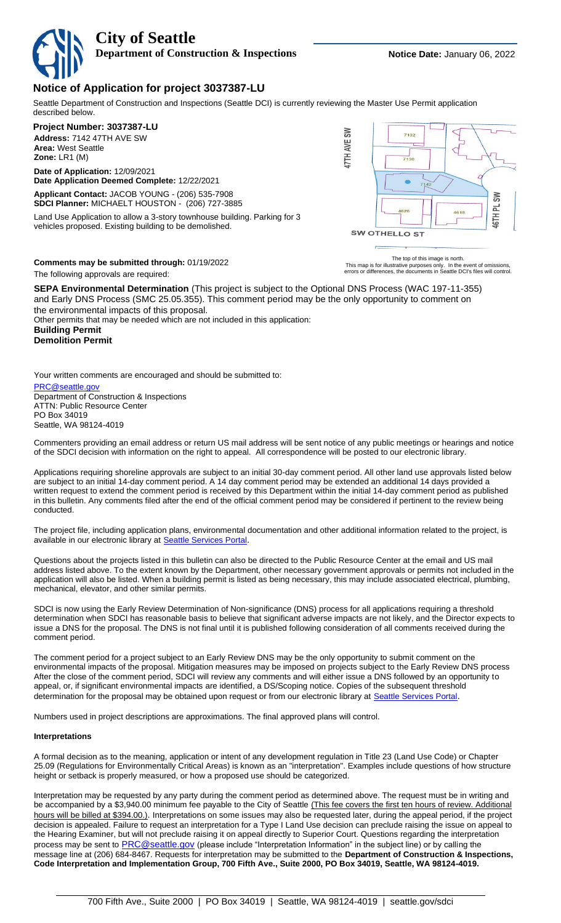**City of Seattle Department of Construction & Inspections <b>Notice Date:** January 06, 2022

## **Notice of Application for project 3037387-LU**

Seattle Department of Construction and Inspections (Seattle DCI) is currently reviewing the Master Use Permit application described below.

## **Project Number: 3037387-LU**

**Address:** 7142 47TH AVE SW **Area:** West Seattle **Zone:** LR1 (M)

**Date of Application:** 12/09/2021 **Date Application Deemed Complete:** 12/22/2021

**Applicant Contact:** JACOB YOUNG - (206) 535-7908 **SDCI Planner:** MICHAELT HOUSTON - (206) 727-3885

Land Use Application to allow a 3-story townhouse building. Parking for 3 vehicles proposed. Existing building to be demolished.



**Comments may be submitted through:** 01/19/2022

The following approvals are required:

The top of this image is north.<br>This map is for illustrative purposes only. In the event of omissions,<br>errors or differences, the documents in Seattle DCI's files will control.

**SEPA Environmental Determination** (This project is subject to the Optional DNS Process (WAC 197-11-355) and Early DNS Process (SMC 25.05.355). This comment period may be the only opportunity to comment on the environmental impacts of this proposal.

Other permits that may be needed which are not included in this application:

**Building Permit Demolition Permit**

Your written comments are encouraged and should be submitted to:

## PRC@seattle.g Department of Construction & Inspections ATTN: Public Resource Center

PO Box 34019 Seattle, WA 98124-4019

Commenters providing an email address or return US mail address will be sent notice of any public meetings or hearings and notice of the SDCI decision with information on the right to appeal. All correspondence will be posted to our electronic library.

Applications requiring shoreline approvals are subject to an initial 30-day comment period. All other land use approvals listed below are subject to an initial 14-day comment period. A 14 day comment period may be extended an additional 14 days provided a written request to extend the comment period is received by this Department within the initial 14-day comment period as published in this bulletin. Any comments filed after the end of the official comment period may be considered if pertinent to the review being conducted.

The project file, including application plans, environmental documentation and other additional information related to the project, is available in our electronic library at **[Seattle Services Portal](https://cosaccela.seattle.gov/portal/welcome.aspx)**.

Questions about the projects listed in this bulletin can also be directed to the Public Resource Center at the email and US mail address listed above. To the extent known by the Department, other necessary government approvals or permits not included in the application will also be listed. When a building permit is listed as being necessary, this may include associated electrical, plumbing, mechanical, elevator, and other similar permits.

SDCI is now using the Early Review Determination of Non-significance (DNS) process for all applications requiring a threshold determination when SDCI has reasonable basis to believe that significant adverse impacts are not likely, and the Director expects to issue a DNS for the proposal. The DNS is not final until it is published following consideration of all comments received during the comment period.

The comment period for a project subject to an Early Review DNS may be the only opportunity to submit comment on the environmental impacts of the proposal. Mitigation measures may be imposed on projects subject to the Early Review DNS process After the close of the comment period, SDCI will review any comments and will either issue a DNS followed by an opportunity to appeal, or, if significant environmental impacts are identified, a DS/Scoping notice. Copies of the subsequent threshold determination for the proposal may be obtained upon request or from our electronic library at [Seattle Services Portal](https://cosaccela.seattle.gov/portal/welcome.aspx).

Numbers used in project descriptions are approximations. The final approved plans will control.

## **Interpretations**

A formal decision as to the meaning, application or intent of any development regulation in Title 23 (Land Use Code) or Chapter 25.09 (Regulations for Environmentally Critical Areas) is known as an "interpretation". Examples include questions of how structure height or setback is properly measured, or how a proposed use should be categorized.

Interpretation may be requested by any party during the comment period as determined above. The request must be in writing and be accompanied by a \$3,940.00 minimum fee payable to the City of Seattle (This fee covers the first ten hours of review. Additional hours will be billed at \$394.00.). Interpretations on some issues may also be requested later, during the appeal period, if the project decision is appealed. Failure to request an interpretation for a Type I Land Use decision can preclude raising the issue on appeal to the Hearing Examiner, but will not preclude raising it on appeal directly to Superior Court. Questions regarding the interpretation process may be sent to **[PRC@seattle.gov](mailto:PRC@seattle.gov)** (please include "Interpretation Information" in the subject line) or by calling the message line at (206) 684-8467. Requests for interpretation may be submitted to the **Department of Construction & Inspections, Code Interpretation and Implementation Group, 700 Fifth Ave., Suite 2000, PO Box 34019, Seattle, WA 98124-4019.**